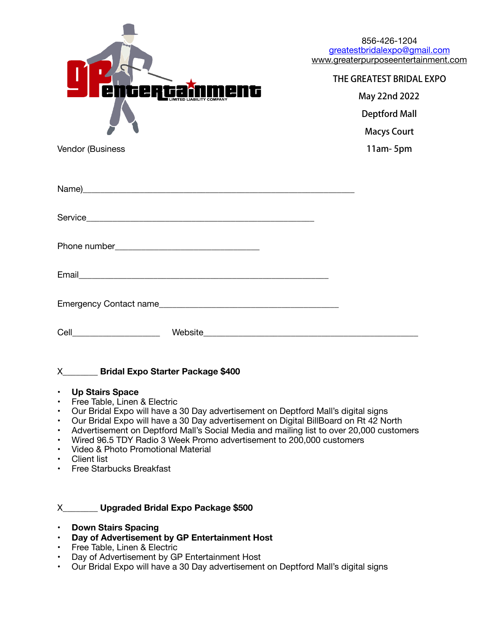

| 856-426-1204                        |
|-------------------------------------|
| greatestbridalexpo@gmail.com        |
| www.greaterpurposeentertainment.com |

## THE GREATEST BRIDAL EXPO

May 22nd 2022 Deptford Mall Macys Court 11am- 5pm

Vendor (Business

| Cell_______________________ |  |
|-----------------------------|--|

## X\_\_\_\_\_\_\_\_ **Bridal Expo Starter Package \$400**

- **• Up Stairs Space**
- Free Table, Linen & Electric
- Our Bridal Expo will have a 30 Day advertisement on Deptford Mall's digital signs
- Our Bridal Expo will have a 30 Day advertisement on Digital BillBoard on Rt 42 North
- Advertisement on Deptford Mall's Social Media and mailing list to over 20,000 customers
- Wired 96.5 TDY Radio 3 Week Promo advertisement to 200,000 customers
- Video & Photo Promotional Material
- Client list
- Free Starbucks Breakfast

## X\_\_\_\_\_\_\_\_ **Upgraded Bridal Expo Package \$500**

- **• Down Stairs Spacing**
- **• Day of Advertisement by GP Entertainment Host**
- Free Table, Linen & Electric
- Day of Advertisement by GP Entertainment Host
- Our Bridal Expo will have a 30 Day advertisement on Deptford Mall's digital signs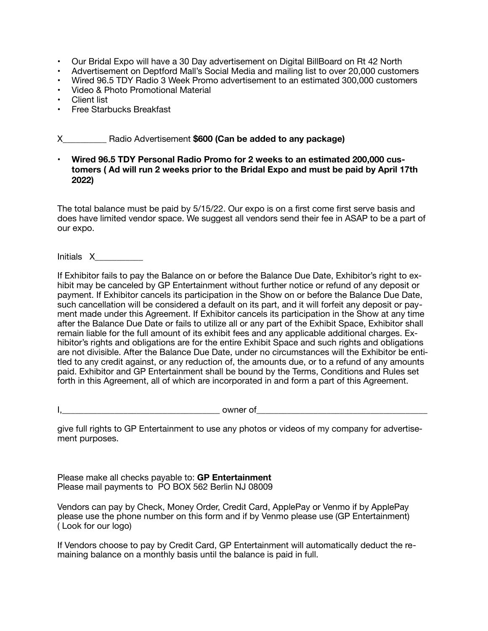- Our Bridal Expo will have a 30 Day advertisement on Digital BillBoard on Rt 42 North
- Advertisement on Deptford Mall's Social Media and mailing list to over 20,000 customers
- Wired 96.5 TDY Radio 3 Week Promo advertisement to an estimated 300,000 customers
- Video & Photo Promotional Material
- Client list
- Free Starbucks Breakfast

X\_\_\_\_\_\_\_\_\_\_ Radio Advertisement **\$600 (Can be added to any package)** 

• **Wired 96.5 TDY Personal Radio Promo for 2 weeks to an estimated 200,000 customers ( Ad will run 2 weeks prior to the Bridal Expo and must be paid by April 17th 2022)** 

The total balance must be paid by 5/15/22. Our expo is on a first come first serve basis and does have limited vendor space. We suggest all vendors send their fee in ASAP to be a part of our expo.

Initials X\_\_\_\_\_\_\_\_\_\_\_

If Exhibitor fails to pay the Balance on or before the Balance Due Date, Exhibitor's right to exhibit may be canceled by GP Entertainment without further notice or refund of any deposit or payment. If Exhibitor cancels its participation in the Show on or before the Balance Due Date, such cancellation will be considered a default on its part, and it will forfeit any deposit or payment made under this Agreement. If Exhibitor cancels its participation in the Show at any time after the Balance Due Date or fails to utilize all or any part of the Exhibit Space, Exhibitor shall remain liable for the full amount of its exhibit fees and any applicable additional charges. Exhibitor's rights and obligations are for the entire Exhibit Space and such rights and obligations are not divisible. After the Balance Due Date, under no circumstances will the Exhibitor be entitled to any credit against, or any reduction of, the amounts due, or to a refund of any amounts paid. Exhibitor and GP Entertainment shall be bound by the Terms, Conditions and Rules set forth in this Agreement, all of which are incorporated in and form a part of this Agreement.

 $I,$ 

give full rights to GP Entertainment to use any photos or videos of my company for advertisement purposes.

Please make all checks payable to: **GP Entertainment**  Please mail payments to PO BOX 562 Berlin NJ 08009

Vendors can pay by Check, Money Order, Credit Card, ApplePay or Venmo if by ApplePay please use the phone number on this form and if by Venmo please use (GP Entertainment) ( Look for our logo)

If Vendors choose to pay by Credit Card, GP Entertainment will automatically deduct the remaining balance on a monthly basis until the balance is paid in full.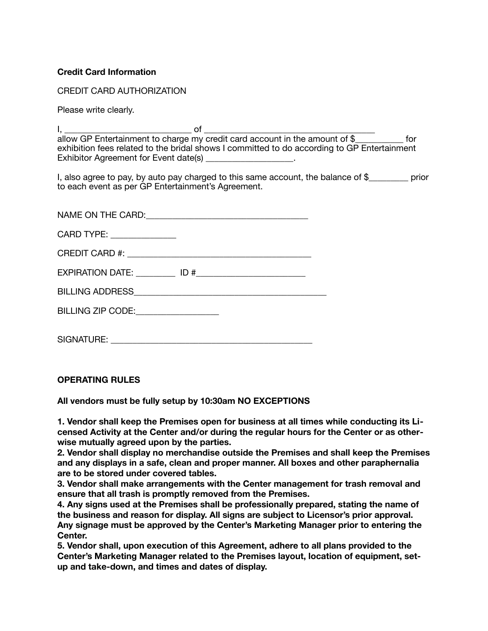## **Credit Card Information**

CREDIT CARD AUTHORIZATION

Please write clearly.

 $\mathsf{I}, \underline{\hspace{1cm}}$ 

allow GP Entertainment to charge my credit card account in the amount of \$ for exhibition fees related to the bridal shows I committed to do according to GP Entertainment Exhibitor Agreement for Event date(s)

I, also agree to pay, by auto pay charged to this same account, the balance of \$ prior to each event as per GP Entertainment's Agreement.

| CARD TYPE: ________________ |  |
|-----------------------------|--|
|                             |  |
|                             |  |
|                             |  |
| BILLING ZIP CODE: 2000      |  |
|                             |  |
|                             |  |

**OPERATING RULES** 

**All vendors must be fully setup by 10:30am NO EXCEPTIONS** 

**1. Vendor shall keep the Premises open for business at all times while conducting its Licensed Activity at the Center and/or during the regular hours for the Center or as otherwise mutually agreed upon by the parties.** 

**2. Vendor shall display no merchandise outside the Premises and shall keep the Premises and any displays in a safe, clean and proper manner. All boxes and other paraphernalia are to be stored under covered tables.** 

**3. Vendor shall make arrangements with the Center management for trash removal and ensure that all trash is promptly removed from the Premises.** 

**4. Any signs used at the Premises shall be professionally prepared, stating the name of the business and reason for display. All signs are subject to Licensor's prior approval. Any signage must be approved by the Center's Marketing Manager prior to entering the Center.** 

**5. Vendor shall, upon execution of this Agreement, adhere to all plans provided to the Center's Marketing Manager related to the Premises layout, location of equipment, setup and take-down, and times and dates of display.**